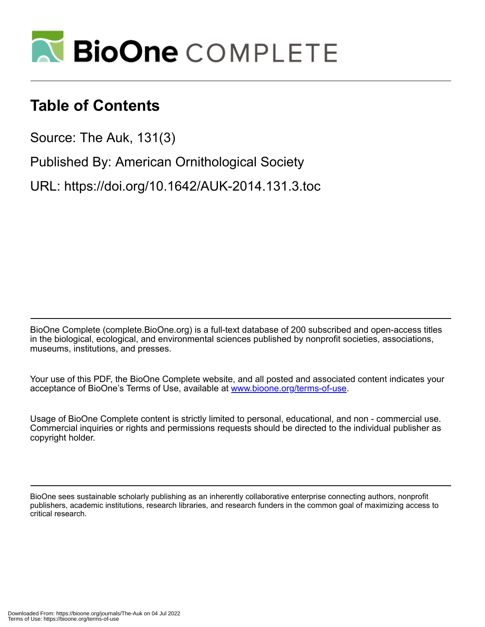

# **Table of Contents**

Source: The Auk, 131(3)

Published By: American Ornithological Society

URL: https://doi.org/10.1642/AUK-2014.131.3.toc

BioOne Complete (complete.BioOne.org) is a full-text database of 200 subscribed and open-access titles in the biological, ecological, and environmental sciences published by nonprofit societies, associations, museums, institutions, and presses.

Your use of this PDF, the BioOne Complete website, and all posted and associated content indicates your acceptance of BioOne's Terms of Use, available at www.bioone.org/terms-of-use.

Usage of BioOne Complete content is strictly limited to personal, educational, and non - commercial use. Commercial inquiries or rights and permissions requests should be directed to the individual publisher as copyright holder.

BioOne sees sustainable scholarly publishing as an inherently collaborative enterprise connecting authors, nonprofit publishers, academic institutions, research libraries, and research funders in the common goal of maximizing access to critical research.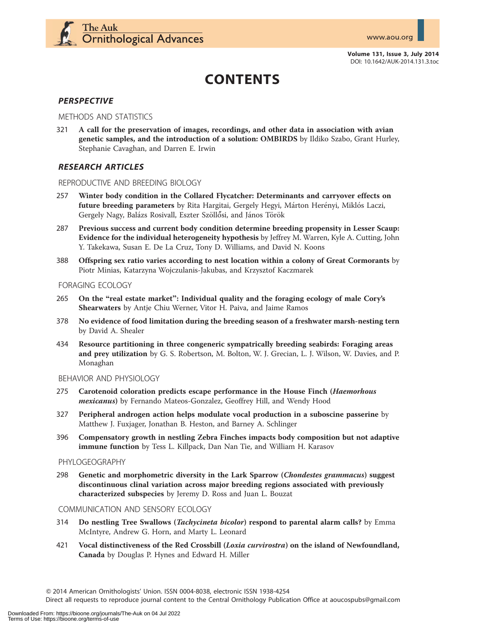

Volume 131, Issue 3, July 2014 DOI: 10.1642/AUK-2014.131.3.toc

# CONTENTS

# **PERSPECTIVE**

#### METHODS AND STATISTICS

321 A call for the preservation of images, recordings, and other data in association with avian genetic samples, and the introduction of a solution: OMBIRDS by Ildiko Szabo, Grant Hurley, Stephanie Cavaghan, and Darren E. Irwin

# RESEARCH ARTICLES

#### REPRODUCTIVE AND BREEDING BIOLOGY

- 257 Winter body condition in the Collared Flycatcher: Determinants and carryover effects on future breeding parameters by Rita Hargitai, Gergely Hegyi, Márton Herényi, Miklós Laczi, Gergely Nagy, Balázs Rosivall, Eszter Szöllősi, and János Török
- 287 Previous success and current body condition determine breeding propensity in Lesser Scaup: Evidence for the individual heterogeneity hypothesis by Jeffrey M. Warren, Kyle A. Cutting, John Y. Takekawa, Susan E. De La Cruz, Tony D. Williams, and David N. Koons
- 388 Offspring sex ratio varies according to nest location within a colony of Great Cormorants by Piotr Minias, Katarzyna Wojczulanis-Jakubas, and Krzysztof Kaczmarek

#### FORAGING ECOLOGY

- 265 On the ''real estate market'': Individual quality and the foraging ecology of male Cory's Shearwaters by Antje Chiu Werner, Vitor H. Paiva, and Jaime Ramos
- 378 No evidence of food limitation during the breeding season of a freshwater marsh-nesting tern by David A. Shealer
- 434 Resource partitioning in three congeneric sympatrically breeding seabirds: Foraging areas and prey utilization by G. S. Robertson, M. Bolton, W. J. Grecian, L. J. Wilson, W. Davies, and P. Monaghan

#### BEHAVIOR AND PHYSIOLOGY

- 275 Carotenoid coloration predicts escape performance in the House Finch (Haemorhous mexicanus) by Fernando Mateos-Gonzalez, Geoffrey Hill, and Wendy Hood
- 327 Peripheral androgen action helps modulate vocal production in a suboscine passerine by Matthew J. Fuxjager, Jonathan B. Heston, and Barney A. Schlinger
- 396 Compensatory growth in nestling Zebra Finches impacts body composition but not adaptive immune function by Tess L. Killpack, Dan Nan Tie, and William H. Karasov

#### PHYLOGEOGRAPHY

298 Genetic and morphometric diversity in the Lark Sparrow (Chondestes grammacus) suggest discontinuous clinal variation across major breeding regions associated with previously characterized subspecies by Jeremy D. Ross and Juan L. Bouzat

#### COMMUNICATION AND SENSORY ECOLOGY

- 314 Do nestling Tree Swallows (Tachycineta bicolor) respond to parental alarm calls? by Emma McIntyre, Andrew G. Horn, and Marty L. Leonard
- 421 Vocal distinctiveness of the Red Crossbill (Loxia curvirostra) on the island of Newfoundland, Canada by Douglas P. Hynes and Edward H. Miller

Q 2014 American Ornithologists' Union. ISSN 0004-8038, electronic ISSN 1938-4254

Direct all requests to reproduce journal content to the Central Ornithology Publication Office at aoucospubs@gmail.com